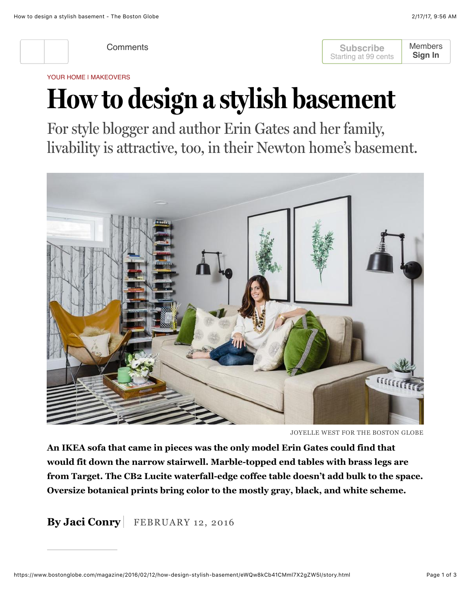

**Subscribe** Starting at 99 cents [Members](https://www.bostonglobe.com/login) **Sign In**

YOUR HOME | MAKEOVERS

## **How to design a stylish basement**

For style blogger and author Erin Gates and her family, livability is attractive, too, in their Newton home's basement.



JOYELLE WEST FOR THE BOSTON GLOBE

**An IKEA sofa that came in pieces was the only model Erin Gates could find that would fit down the narrow stairwell. Marble-topped end tables with brass legs are from Target. The CB2 Lucite waterfall-edge coffee table doesn't add bulk to the space. Oversize botanical prints bring color to the mostly gray, black, and white scheme.**

**By Jaci Conry** FEBRUARY 12, 2016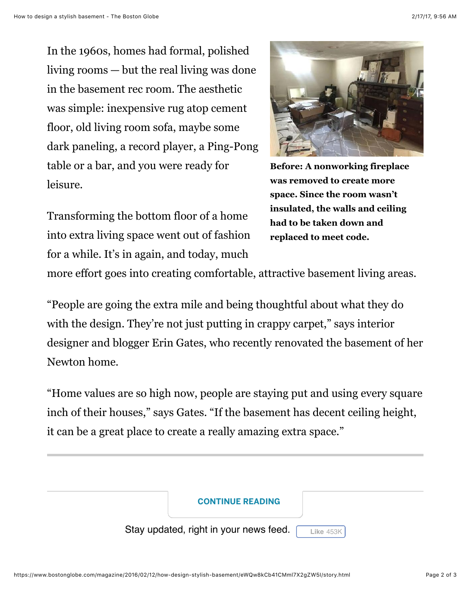In the 1960s, homes had formal, polished living rooms — but the real living was done in the basement rec room. The aesthetic was simple: inexpensive rug atop cement floor, old living room sofa, maybe some dark paneling, a record player, a Ping-Pong table or a bar, and you were ready for leisure.

Transforming the bottom floor of a home into extra living space went out of fashion for a while. It's in again, and today, much



**Before: A nonworking fireplace was removed to create more space. Since the room wasn't insulated, the walls and ceiling had to be taken down and replaced to meet code.**

more effort goes into creating comfortable, attractive basement living areas.

"People are going the extra mile and being thoughtful about what they do with the design. They're not just putting in crappy carpet," says interior designer and blogger Erin Gates, who recently renovated the basement of her Newton home.

"Home values are so high now, people are staying put and using every square inch of their houses," says Gates. "If the basement has decent ceiling height, it can be a great place to create a really amazing extra space."